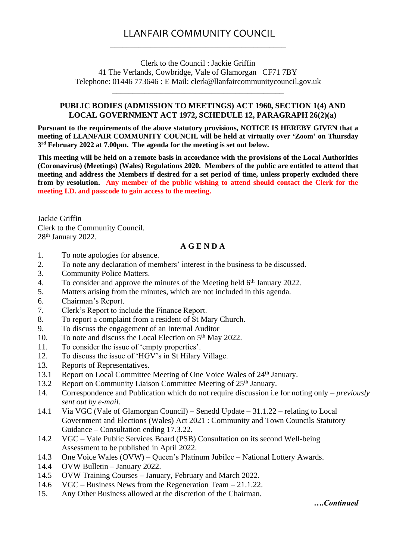## LLANFAIR COMMUNITY COUNCIL \_\_\_\_\_\_\_\_\_\_\_\_\_\_\_\_\_\_\_\_\_\_\_\_\_\_\_\_\_\_\_\_\_\_\_\_\_\_\_\_\_\_\_\_

Clerk to the Council : Jackie Griffin 41 The Verlands, Cowbridge, Vale of Glamorgan CF71 7BY Telephone: 01446 773646 : E Mail: clerk@llanfaircommunitycouncil.gov.uk

\_\_\_\_\_\_\_\_\_\_\_\_\_\_\_\_\_\_\_\_\_\_\_\_\_\_\_\_\_\_\_\_\_\_\_\_\_\_\_\_\_\_\_

## **PUBLIC BODIES (ADMISSION TO MEETINGS) ACT 1960, SECTION 1(4) AND LOCAL GOVERNMENT ACT 1972, SCHEDULE 12, PARAGRAPH 26(2)(a)**

**Pursuant to the requirements of the above statutory provisions, NOTICE IS HEREBY GIVEN that a meeting of LLANFAIR COMMUNITY COUNCIL will be held at virtually over 'Zoom' on Thursday 3 rd February 2022 at 7.00pm. The agenda for the meeting is set out below.** 

**This meeting will be held on a remote basis in accordance with the provisions of the Local Authorities (Coronavirus) (Meetings) (Wales) Regulations 2020. Members of the public are entitled to attend that meeting and address the Members if desired for a set period of time, unless properly excluded there from by resolution. Any member of the public wishing to attend should contact the Clerk for the meeting I.D. and passcode to gain access to the meeting.**

Jackie Griffin Clerk to the Community Council. 28th January 2022.

## **A G E N D A**

- 1. To note apologies for absence.
- 2. To note any declaration of members' interest in the business to be discussed.
- 3. Community Police Matters.
- 4. To consider and approve the minutes of the Meeting held 6<sup>th</sup> January 2022.
- 5. Matters arising from the minutes, which are not included in this agenda.
- 6. Chairman's Report.
- 7. Clerk's Report to include the Finance Report.
- 8. To report a complaint from a resident of St Mary Church.
- 9. To discuss the engagement of an Internal Auditor
- 10. To note and discuss the Local Election on 5<sup>th</sup> May 2022.
- 11. To consider the issue of 'empty properties'.
- 12. To discuss the issue of 'HGV's in St Hilary Village.
- 13. Reports of Representatives.
- 13.1 Report on Local Committee Meeting of One Voice Wales of 24<sup>th</sup> January.
- 13.2 Report on Community Liaison Committee Meeting of 25<sup>th</sup> January.
- 14. Correspondence and Publication which do not require discussion i.e for noting only *previously sent out by e-mail.*
- 14.1 Via VGC (Vale of Glamorgan Council) Senedd Update 31.1.22 relating to Local Government and Elections (Wales) Act 2021 : Community and Town Councils Statutory Guidance – Consultation ending 17.3.22.
- 14.2 VGC Vale Public Services Board (PSB) Consultation on its second Well-being Assessment to be published in April 2022.
- 14.3 One Voice Wales (OVW) Queen's Platinum Jubilee National Lottery Awards.
- 14.4 OVW Bulletin January 2022.
- 14.5 OVW Training Courses January, February and March 2022.
- 14.6 VGC Business News from the Regeneration Team 21.1.22.
- 15. Any Other Business allowed at the discretion of the Chairman.

*….Continued*